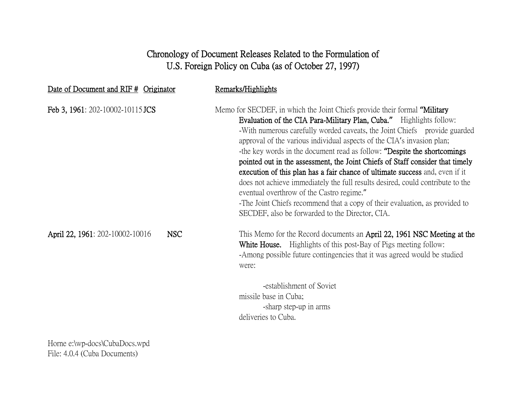# Chronology of Document Releases Related to the Formulation of U.S. Foreign Policy on Cuba (as of October 27, 1997)

| Date of Document and RIF # Originator         | Remarks/Highlights                                                                                                                                                                                                                                                                                                                                                                                                                                                                                                                                                                                                                                                                                                                                                                                                     |
|-----------------------------------------------|------------------------------------------------------------------------------------------------------------------------------------------------------------------------------------------------------------------------------------------------------------------------------------------------------------------------------------------------------------------------------------------------------------------------------------------------------------------------------------------------------------------------------------------------------------------------------------------------------------------------------------------------------------------------------------------------------------------------------------------------------------------------------------------------------------------------|
| Feb 3, 1961: 202-10002-10115 JCS              | Memo for SECDEF, in which the Joint Chiefs provide their formal "Military"<br>Evaluation of the CIA Para-Military Plan, Cuba." Highlights follow:<br>-With numerous carefully worded caveats, the Joint Chiefs provide guarded<br>approval of the various individual aspects of the CIA's invasion plan;<br>-the key words in the document read as follow: "Despite the shortcomings<br>pointed out in the assessment, the Joint Chiefs of Staff consider that timely<br>execution of this plan has a fair chance of ultimate success and, even if it<br>does not achieve immediately the full results desired, could contribute to the<br>eventual overthrow of the Castro regime."<br>-The Joint Chiefs recommend that a copy of their evaluation, as provided to<br>SECDEF, also be forwarded to the Director, CIA. |
| <b>NSC</b><br>April 22, 1961: 202-10002-10016 | This Memo for the Record documents an April 22, 1961 NSC Meeting at the<br><b>White House.</b> Highlights of this post-Bay of Pigs meeting follow:<br>-Among possible future contingencies that it was agreed would be studied<br>were:<br>-establishment of Soviet<br>missile base in Cuba;<br>-sharp step-up in arms<br>deliveries to Cuba.                                                                                                                                                                                                                                                                                                                                                                                                                                                                          |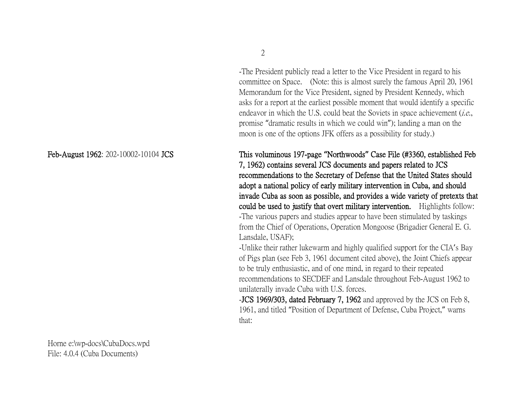-The President publicly read a letter to the Vice President in regard to his committee on Space. (Note: this is almost surely the famous April 20, 1961 Memorandum for the Vice President, signed by President Kennedy, which asks for a report at the earliest possible moment that would identify a specific endeavor in which the U.S. could beat the Soviets in space achievement *(i.e.*, promise "dramatic results in which we could win"); landing a man on the moon is one of the options JFK offers as a possibility for study.)

Feb-August 1962: 202-10002-10104 JCS This voluminous 197-page **"**Northwoods**"** Case File (#3360, established Feb 7, 1962) contains several JCS documents and papers related to JCS recommendations to the Secretary of Defense that the United States should adopt a national policy of early military intervention in Cuba, and should invade Cuba as soon as possible, and provides a wide variety of pretexts that could be used to justify that overt military intervention. Highlights follow: -The various papers and studies appear to have been stimulated by taskings from the Chief of Operations, Operation Mongoose (Brigadier General E. G. Lansdale, USAF);

> -Unlike their rather lukewarm and highly qualified support for the CIA's Bay of Pigs plan (see Feb 3, 1961 document cited above), the Joint Chiefs appear to be truly enthusiastic, and of one mind, in regard to their repeated recommendations to SECDEF and Lansdale throughout Feb-August 1962 to unilaterally invade Cuba with U.S. forces.

-JCS 1969/303, dated February 7, 1962 and approved by the JCS on Feb 8, 1961, and titled "Position of Department of Defense, Cuba Project," warns that: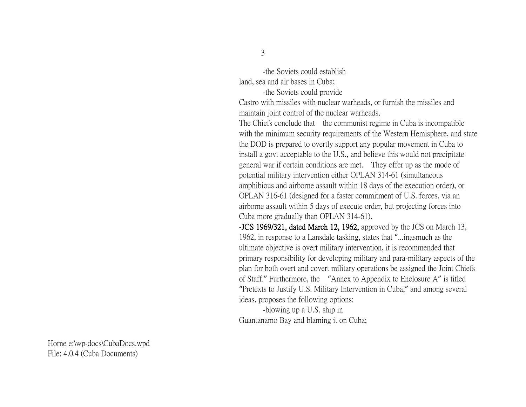-the Soviets could establish land, sea and air bases in Cuba;

-the Soviets could provide

Castro with missiles with nuclear warheads, or furnish the missiles and maintain joint control of the nuclear warheads.

The Chiefs conclude that the communist regime in Cuba is incompatible with the minimum security requirements of the Western Hemisphere, and state the DOD is prepared to overtly support any popular movement in Cuba to install a govt acceptable to the U.S., and believe this would not precipitate general war if certain conditions are met. They offer up as the mode of potential military intervention either OPLAN 314-61 (simultaneous amphibious and airborne assault within 18 days of the execution order), or OPLAN 316-61 (designed for a faster commitment of U.S. forces, via an airborne assault within 5 days of execute order, but projecting forces into Cuba more gradually than OPLAN 314-61).

-JCS 1969/321, dated March 12, 1962, approved by the JCS on March 13, 1962, in response to a Lansdale tasking, states that "...inasmuch as the ultimate objective is overt military intervention, it is recommended that primary responsibility for developing military and para-military aspects of the plan for both overt and covert military operations be assigned the Joint Chiefs of Staff." Furthermore, the "Annex to Appendix to Enclosure A" is titled "Pretexts to Justify U.S. Military Intervention in Cuba," and among several ideas, proposes the following options:

-blowing up a U.S. ship in Guantanamo Bay and blaming it on Cuba;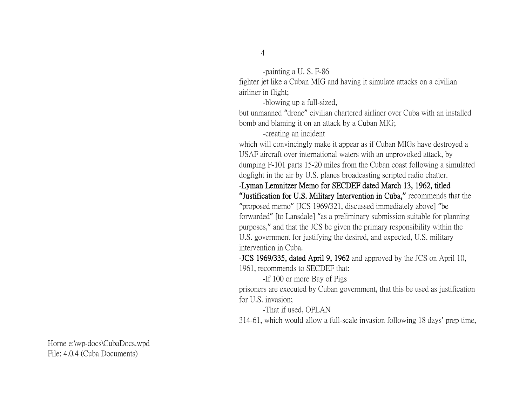-painting a U. S. F-86 fighter jet like a Cuban MIG and having it simulate attacks on a civilian airliner in flight;

-blowing up a full-sized,

but unmanned "drone" civilian chartered airliner over Cuba with an installed bomb and blaming it on an attack by a Cuban MIG;

-creating an incident

which will convincingly make it appear as if Cuban MIGs have destroyed a USAF aircraft over international waters with an unprovoked attack, by dumping F-101 parts 15-20 miles from the Cuban coast following a simulated dogfight in the air by U.S. planes broadcasting scripted radio chatter.

-Lyman Lemnitzer Memo for SECDEF dated March 13, 1962, titled

**"**Justification for U.S. Military Intervention in Cuba,**"** recommends that the "proposed memo" [JCS 1969/321, discussed immediately above] "be forwarded" [to Lansdale] "as a preliminary submission suitable for planning purposes," and that the JCS be given the primary responsibility within the U.S. government for justifying the desired, and expected, U.S. military intervention in Cuba.

-JCS 1969/335, dated April 9, 1962 and approved by the JCS on April 10, 1961, recommends to SECDEF that:

-If 100 or more Bay of Pigs

prisoners are executed by Cuban government, that this be used as justification for U.S. invasion;

-That if used, OPLAN

314-61, which would allow a full-scale invasion following 18 days' prep time,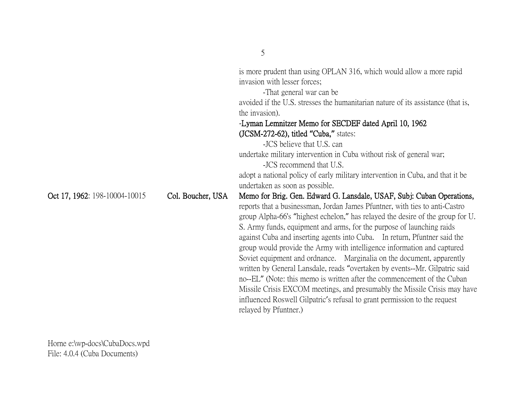|                               |                   | is more prudent than using OPLAN 316, which would allow a more rapid             |
|-------------------------------|-------------------|----------------------------------------------------------------------------------|
|                               |                   | invasion with lesser forces;                                                     |
|                               |                   | -That general war can be.                                                        |
|                               |                   | avoided if the U.S. stresses the humanitarian nature of its assistance (that is, |
|                               |                   | the invasion).                                                                   |
|                               |                   | -Lyman Lemnitzer Memo for SECDEF dated April 10, 1962                            |
|                               |                   | $(JCSM-272-62)$ , titled "Cuba," states:                                         |
|                               |                   | -JCS believe that U.S. can                                                       |
|                               |                   | undertake military intervention in Cuba without risk of general war;             |
|                               |                   | -JCS recommend that U.S.                                                         |
|                               |                   | adopt a national policy of early military intervention in Cuba, and that it be   |
|                               |                   | undertaken as soon as possible.                                                  |
| Oct 17, 1962: 198-10004-10015 | Col. Boucher, USA | Memo for Brig. Gen. Edward G. Lansdale, USAF, Subj: Cuban Operations,            |
|                               |                   | reports that a businessman, Jordan James Pfuntner, with ties to anti-Castro      |
|                               |                   | group Alpha-66's "highest echelon," has relayed the desire of the group for U.   |
|                               |                   | S. Army funds, equipment and arms, for the purpose of launching raids            |
|                               |                   | against Cuba and inserting agents into Cuba. In return, Pfuntner said the        |
|                               |                   | group would provide the Army with intelligence information and captured          |
|                               |                   | Soviet equipment and ordnance. Marginalia on the document, apparently            |
|                               |                   |                                                                                  |
|                               |                   | written by General Lansdale, reads "overtaken by events--Mr. Gilpatric said      |
|                               |                   | no--EL" (Note: this memo is written after the commencement of the Cuban          |
|                               |                   | Missile Crisis EXCOM meetings, and presumably the Missile Crisis may have        |
|                               |                   | influenced Roswell Gilpatric's refusal to grant permission to the request        |
|                               |                   | relayed by Pfuntner.)                                                            |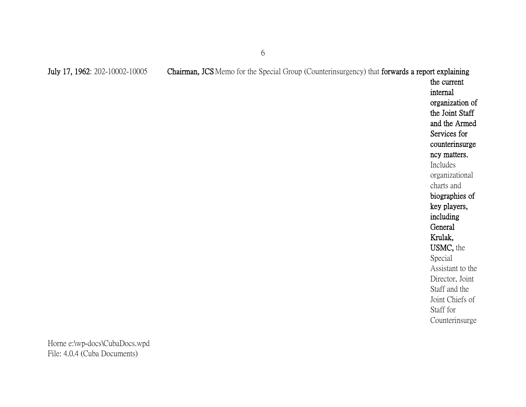the current internal organization of the Joint Staff and the Armed Services for counterinsurge ncy matters. Includes organizational charts and biographies of key players, including **General** Krulak, USMC, the Special Assistant to the Director, Joint Staff and the Joint Chiefs of Staff for Counterinsurge

Horne e:\wp-docs\CubaDocs.wpd File: 4.0.4 (Cuba Documents)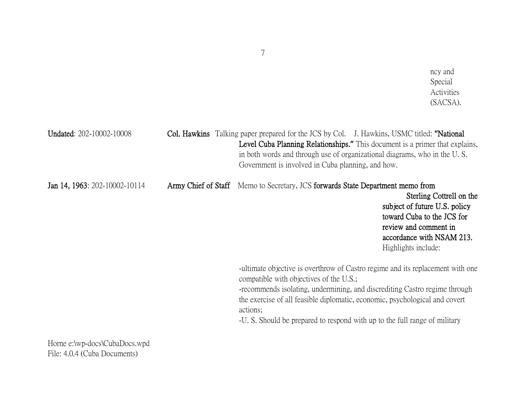| <b>Undated: 202-10002-10008</b> |                     | <b>Col. Hawkins</b> Talking paper prepared for the JCS by Col. J. Hawkins, USMC titled: "National<br>Level Cuba Planning Relationships." This document is a primer that explains,<br>in both words and through use of organizational diagrams, who in the U.S.<br>Government is involved in Cuba planning, and how.                                                              |                                                                                                                                                                      |
|---------------------------------|---------------------|----------------------------------------------------------------------------------------------------------------------------------------------------------------------------------------------------------------------------------------------------------------------------------------------------------------------------------------------------------------------------------|----------------------------------------------------------------------------------------------------------------------------------------------------------------------|
| Jan 14, 1963: 202-10002-10114   | Army Chief of Staff | Memo to Secretary, JCS forwards State Department memo from                                                                                                                                                                                                                                                                                                                       | Sterling Cottrell on the<br>subject of future U.S. policy<br>toward Cuba to the JCS for<br>review and comment in<br>accordance with NSAM 213.<br>Highlights include: |
|                                 |                     | -ultimate objective is overthrow of Castro regime and its replacement with one<br>compatible with objectives of the U.S.;<br>-recommends isolating, undermining, and discrediting Castro regime through<br>the exercise of all feasible diplomatic, economic, psychological and covert<br>actions;<br>-U. S. Should be prepared to respond with up to the full range of military |                                                                                                                                                                      |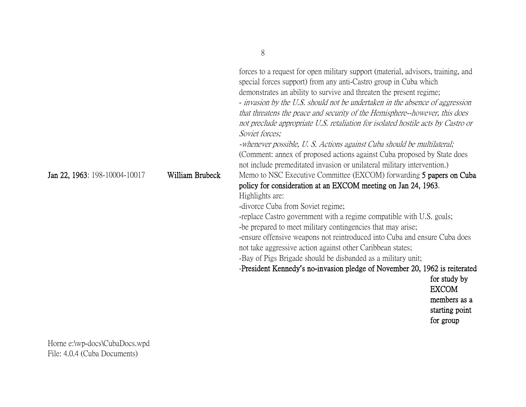| (Comment: annex of proposed actions against Cuba proposed by State does<br>not include premeditated invasion or unilateral military intervention.)<br>William Brubeck<br>Jan 22, 1963: 198-10004-10017<br>Memo to NSC Executive Committee (EXCOM) forwarding 5 papers on Cuba<br>policy for consideration at an EXCOM meeting on Jan 24, 1963.<br>Highlights are: |
|-------------------------------------------------------------------------------------------------------------------------------------------------------------------------------------------------------------------------------------------------------------------------------------------------------------------------------------------------------------------|
| -divorce Cuba from Soviet regime;<br>-replace Castro government with a regime compatible with U.S. goals;                                                                                                                                                                                                                                                         |
| -be prepared to meet military contingencies that may arise;                                                                                                                                                                                                                                                                                                       |
| -ensure offensive weapons not reintroduced into Cuba and ensure Cuba does                                                                                                                                                                                                                                                                                         |
| not take aggressive action against other Caribbean states;                                                                                                                                                                                                                                                                                                        |
| -Bay of Pigs Brigade should be disbanded as a military unit;                                                                                                                                                                                                                                                                                                      |
| -President Kennedy's no-invasion pledge of November 20, 1962 is reiterated                                                                                                                                                                                                                                                                                        |
| for study by                                                                                                                                                                                                                                                                                                                                                      |
| <b>EXCOM</b>                                                                                                                                                                                                                                                                                                                                                      |
| members as a                                                                                                                                                                                                                                                                                                                                                      |
| starting point<br>for group                                                                                                                                                                                                                                                                                                                                       |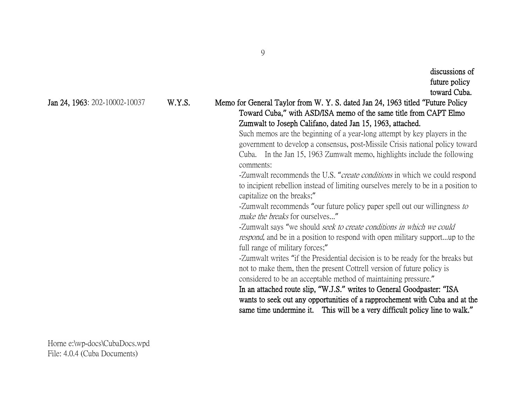# Jan 24, 1963: 202-10002-10037 W.Y.S. Memo for General Taylor from W. Y. S. dated Jan 24, 1963 titled **"**Future Policy Toward Cuba,**"** with ASD/ISA memo of the same title from CAPT Elmo Zumwalt to Joseph Califano, dated Jan 15, 1963, attached.

Such memos are the beginning of a year-long attempt by key players in the government to develop a consensus, post-Missile Crisis national policy toward Cuba. In the Jan 15, 1963 Zumwalt memo, highlights include the following comments:

-Zumwalt recommends the U.S. "*create conditions* in which we could respond to incipient rebellion instead of limiting ourselves merely to be in a position to capitalize on the breaks;"

-Zumwalt recommends "our future policy paper spell out our willingness to make the breaks for ourselves..."

-Zumwalt says "we should *seek to create conditions in which we could* respond, and be in a position to respond with open military support...up to the full range of military forces;"

-Zumwalt writes "if the Presidential decision is to be ready for the breaks but not to make them, then the present Cottrell version of future policy is considered to be an acceptable method of maintaining pressure."

In an attached route slip, **"**W.J.S.**"** writes to General Goodpaster: **"**ISA wants to seek out any opportunities of a rapprochement with Cuba and at the same time undermine it. This will be a very difficult policy line to walk.**"**

Horne e:\wp-docs\CubaDocs.wpd File: 4.0.4 (Cuba Documents)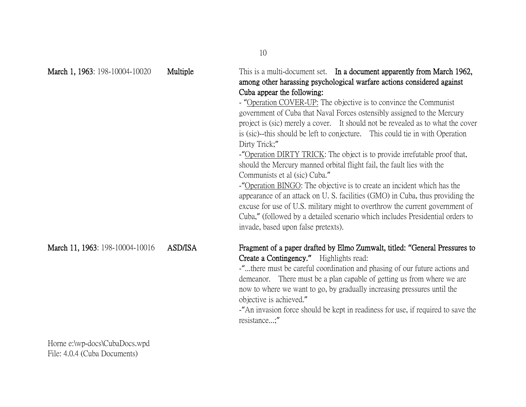| March 1, 1963: 198-10004-10020  | Multiple       | This is a multi-document set. In a document apparently from March 1962,<br>among other harassing psychological warfare actions considered against<br>Cuba appear the following:<br>- "Operation COVER-UP: The objective is to convince the Communist<br>government of Cuba that Naval Forces ostensibly assigned to the Mercury<br>project is (sic) merely a cover. It should not be revealed as to what the cover<br>is (sic)--this should be left to conjecture. This could tie in with Operation<br>Dirty Trick;"<br>-"Operation DIRTY TRICK: The object is to provide irrefutable proof that,<br>should the Mercury manned orbital flight fail, the fault lies with the<br>Communists et al (sic) Cuba."<br>-"Operation BINGO: The objective is to create an incident which has the<br>appearance of an attack on U.S. facilities (GMO) in Cuba, thus providing the<br>excuse for use of U.S. military might to overthrow the current government of<br>Cuba," (followed by a detailed scenario which includes Presidential orders to<br>invade, based upon false pretexts). |
|---------------------------------|----------------|---------------------------------------------------------------------------------------------------------------------------------------------------------------------------------------------------------------------------------------------------------------------------------------------------------------------------------------------------------------------------------------------------------------------------------------------------------------------------------------------------------------------------------------------------------------------------------------------------------------------------------------------------------------------------------------------------------------------------------------------------------------------------------------------------------------------------------------------------------------------------------------------------------------------------------------------------------------------------------------------------------------------------------------------------------------------------------|
| March 11, 1963: 198-10004-10016 | <b>ASD/ISA</b> | Fragment of a paper drafted by Elmo Zumwalt, titled: "General Pressures to<br>Create a Contingency." Highlights read:<br>-"there must be careful coordination and phasing of our future actions and<br>demeanor. There must be a plan capable of getting us from where we are<br>now to where we want to go, by gradually increasing pressures until the<br>objective is achieved."<br>-"An invasion force should be kept in readiness for use, if required to save the<br>resistance;"                                                                                                                                                                                                                                                                                                                                                                                                                                                                                                                                                                                         |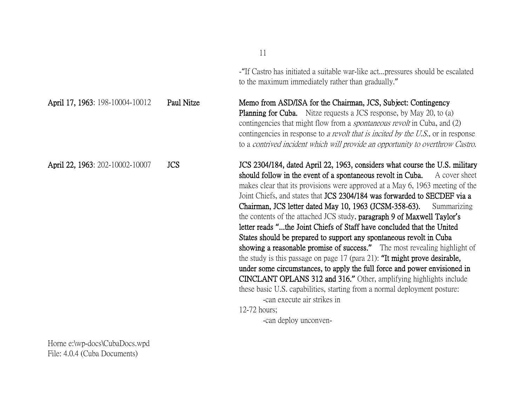-"If Castro has initiated a suitable war-like act...pressures should be escalated to the maximum immediately rather than gradually."

April 17, 1963: 198-10004-10012 Paul Nitze Memo from ASD/ISA for the Chairman, JCS, Subject: Contingency Planning for Cuba. Nitze requests a JCS response, by May 20, to (a) contingencies that might flow from a spontaneous revolt in Cuba, and (2) contingencies in response to a revolt that is incited by the U.S., or in response to a contrived incident which will provide an opportunity to overthrow Castro.

April 22, 1963: 202-10002-10007 JCS JCS 2304/184, dated April 22, 1963, considers what course the U.S. military should follow in the event of a spontaneous revolt in Cuba. A cover sheet makes clear that its provisions were approved at a May 6, 1963 meeting of the Joint Chiefs, and states that JCS 2304/184 was forwarded to SECDEF via a Chairman, JCS letter dated May 10, 1963 (JCSM-358-63). Summarizing the contents of the attached JCS study, paragraph 9 of Maxwell Taylor**'**s letter reads **"**...the Joint Chiefs of Staff have concluded that the United States should be prepared to support any spontaneous revolt in Cuba showing a reasonable promise of success.**"** The most revealing highlight of the study is this passage on page 17 (para 21): **"**It might prove desirable, under some circumstances, to apply the full force and power envisioned in CINCLANT OPLANS 312 and 316.**"** Other, amplifying highlights include these basic U.S. capabilities, starting from a normal deployment posture: -can execute air strikes in 12-72 hours;

-can deploy unconven-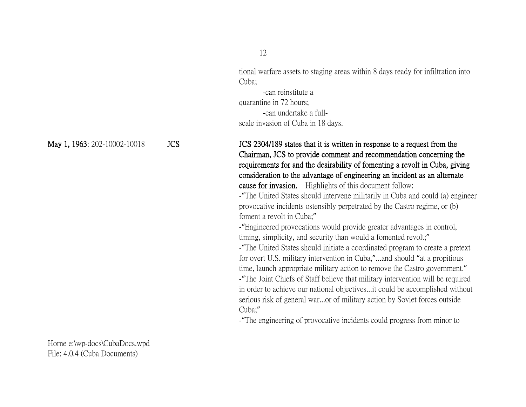tional warfare assets to staging areas within 8 days ready for infiltration into Cuba;

-can reinstitute a quarantine in 72 hours; -can undertake a fullscale invasion of Cuba in 18 days.

May 1, 1963: 202-10002-10018 JCS JCS 304/189 states that it is written in response to a request from the Chairman, JCS to provide comment and recommendation concerning the requirements for and the desirability of fomenting a revolt in Cuba, giving consideration to the advantage of engineering an incident as an alternate cause for invasion. Highlights of this document follow:

> -"The United States should intervene militarily in Cuba and could (a) engineer provocative incidents ostensibly perpetrated by the Castro regime, or (b) foment a revolt in Cuba;"

-"Engineered provocations would provide greater advantages in control, timing, simplicity, and security than would a fomented revolt;" -"The United States should initiate a coordinated program to create a pretext for overt U.S. military intervention in Cuba,"...and should "at a propitious

time, launch appropriate military action to remove the Castro government." -"The Joint Chiefs of Staff believe that military intervention will be required in order to achieve our national objectives...it could be accomplished without serious risk of general war...or of military action by Soviet forces outside Cuba;"

-"The engineering of provocative incidents could progress from minor to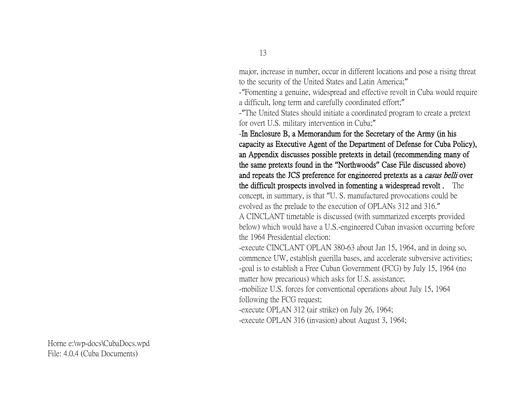major, increase in number, occur in different locations and pose a rising threat to the security of the United States and Latin America;"

-"Fomenting a genuine, widespread and effective revolt in Cuba would require a difficult, long term and carefully coordinated effort;"

-"The United States should initiate a coordinated program to create a pretext for overt U.S. military intervention in Cuba;"

-In Enclosure B, a Memorandum for the Secretary of the Army (in his capacity as Executive Agent of the Department of Defense for Cuba Policy), an Appendix discusses possible pretexts in detail (recommending many of the same pretexts found in the **"**Northwoods**"** Case File discussed above) and repeats the JCS preference for engineered pretexts as a casus belli over the difficult prospects involved in fomenting a widespread revolt . The concept, in summary, is that "U. S. manufactured provocations could be evolved as the prelude to the execution of OPLANs 312 and 316."

A CINCLANT timetable is discussed (with summarized excerpts provided below) which would have a U.S.-engineered Cuban invasion occurring before the 1964 Presidential election:

-execute CINCLANT OPLAN 380-63 about Jan 15, 1964, and in doing so, commence UW, establish guerilla bases, and accelerate subversive activities; -goal is to establish a Free Cuban Government (FCG) by July 15, 1964 (no matter how precarious) which asks for U.S. assistance;

-mobilize U.S. forces for conventional operations about July 15, 1964 following the FCG request;

-execute OPLAN 312 (air strike) on July 26, 1964;

-execute OPLAN 316 (invasion) about August 3, 1964;

Horne e:\wp-docs\CubaDocs.wpd File: 4.0.4 (Cuba Documents)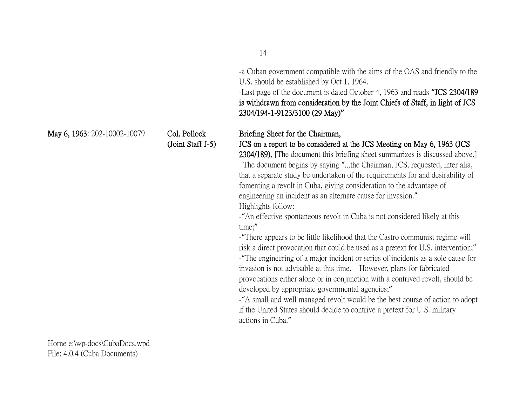-a Cuban government compatible with the aims of the OAS and friendly to the U.S. should be established by Oct 1, 1964.

-Last page of the document is dated October 4, 1963 and reads **"**JCS 2304/189 is withdrawn from consideration by the Joint Chiefs of Staff, in light of JCS 2304/194-1-9123/3100 (29 May)**"**

#### May 6, 1963: 202-10002-10079 Col. Pollock Briefing Sheet for the Chairman,

(Joint Staff J-5) JCS on a report to be considered at the JCS Meeting on May 6, 1963 (JCS 2304/189). [The document this briefing sheet summarizes is discussed above.]

The document begins by saying "...the Chairman, JCS, requested, inter alia, that a separate study be undertaken of the requirements for and desirability of fomenting a revolt in Cuba, giving consideration to the advantage of engineering an incident as an alternate cause for invasion." Highlights follow:

-"An effective spontaneous revolt in Cuba is not considered likely at this time;"

-"There appears to be little likelihood that the Castro communist regime will risk a direct provocation that could be used as a pretext for U.S. intervention;" -"The engineering of a major incident or series of incidents as a sole cause for invasion is not advisable at this time. However, plans for fabricated provocations either alone or in conjunction with a contrived revolt, should be developed by appropriate governmental agencies;"

-"A small and well managed revolt would be the best course of action to adopt if the United States should decide to contrive a pretext for U.S. military actions in Cuba."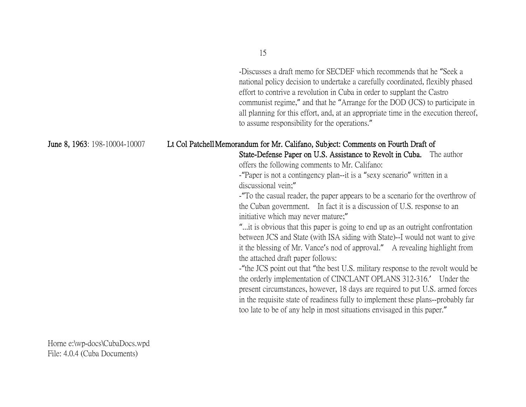-Discusses a draft memo for SECDEF which recommends that he "Seek a national policy decision to undertake a carefully coordinated, flexibly phased effort to contrive a revolution in Cuba in order to supplant the Castro communist regime," and that he "Arrange for the DOD (JCS) to participate in all planning for this effort, and, at an appropriate time in the execution thereof, to assume responsibility for the operations."

### June 8, 1963: 198-10004-10007 Lt Col PatchellMemorandum for Mr. Califano, Subject: Comments on Fourth Draft of

State-Defense Paper on U.S. Assistance to Revolt in Cuba. The author offers the following comments to Mr. Califano:

-"Paper is not a contingency plan--it is a "sexy scenario" written in a discussional vein;"

-"To the casual reader, the paper appears to be a scenario for the overthrow of the Cuban government. In fact it is a discussion of U.S. response to an initiative which may never mature;"

"...it is obvious that this paper is going to end up as an outright confrontation between JCS and State (with ISA siding with State)--I would not want to give it the blessing of Mr. Vance's nod of approval." A revealing highlight from the attached draft paper follows:

-"the JCS point out that "the best U.S. military response to the revolt would be the orderly implementation of CINCLANT OPLANS 312-316.' Under the present circumstances, however, 18 days are required to put U.S. armed forces in the requisite state of readiness fully to implement these plans--probably far too late to be of any help in most situations envisaged in this paper."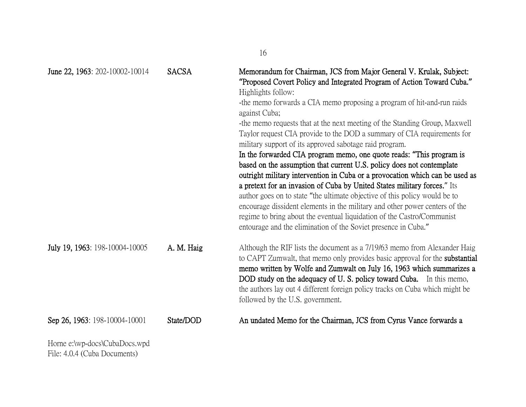|                                |              | 16                                                                                                                                                                                                                                                                                                                                                                                                                                                                                                                                                                                                                                                                                                                                                                                                                                                                                                                                                                                                                                                                                                       |
|--------------------------------|--------------|----------------------------------------------------------------------------------------------------------------------------------------------------------------------------------------------------------------------------------------------------------------------------------------------------------------------------------------------------------------------------------------------------------------------------------------------------------------------------------------------------------------------------------------------------------------------------------------------------------------------------------------------------------------------------------------------------------------------------------------------------------------------------------------------------------------------------------------------------------------------------------------------------------------------------------------------------------------------------------------------------------------------------------------------------------------------------------------------------------|
| June 22, 1963: 202-10002-10014 | <b>SACSA</b> | Memorandum for Chairman, JCS from Major General V. Krulak, Subject:<br>"Proposed Covert Policy and Integrated Program of Action Toward Cuba."<br>Highlights follow:<br>-the memo forwards a CIA memo proposing a program of hit-and-run raids<br>against Cuba;<br>-the memo requests that at the next meeting of the Standing Group, Maxwell<br>Taylor request CIA provide to the DOD a summary of CIA requirements for<br>military support of its approved sabotage raid program.<br>In the forwarded CIA program memo, one quote reads: "This program is<br>based on the assumption that current U.S. policy does not contemplate<br>outright military intervention in Cuba or a provocation which can be used as<br>a pretext for an invasion of Cuba by United States military forces." Its<br>author goes on to state "the ultimate objective of this policy would be to<br>encourage dissident elements in the military and other power centers of the<br>regime to bring about the eventual liquidation of the Castro/Communist<br>entourage and the elimination of the Soviet presence in Cuba." |
| July 19, 1963: 198-10004-10005 | A. M. Haig   | Although the RIF lists the document as a 7/19/63 memo from Alexander Haig<br>to CAPT Zumwalt, that memo only provides basic approval for the <b>substantial</b><br>memo written by Wolfe and Zumwalt on July 16, 1963 which summarizes a<br>DOD study on the adequacy of U.S. policy toward Cuba. In this memo,<br>the authors lay out 4 different foreign policy tracks on Cuba which might be<br>followed by the U.S. government.                                                                                                                                                                                                                                                                                                                                                                                                                                                                                                                                                                                                                                                                      |
| Sep 26, 1963: 198-10004-10001  | State/DOD    | An undated Memo for the Chairman, JCS from Cyrus Vance forwards a                                                                                                                                                                                                                                                                                                                                                                                                                                                                                                                                                                                                                                                                                                                                                                                                                                                                                                                                                                                                                                        |
| Horne e:\wp-docs\CubaDocs.wpd  |              |                                                                                                                                                                                                                                                                                                                                                                                                                                                                                                                                                                                                                                                                                                                                                                                                                                                                                                                                                                                                                                                                                                          |

File: 4.0.4 (Cuba Documents)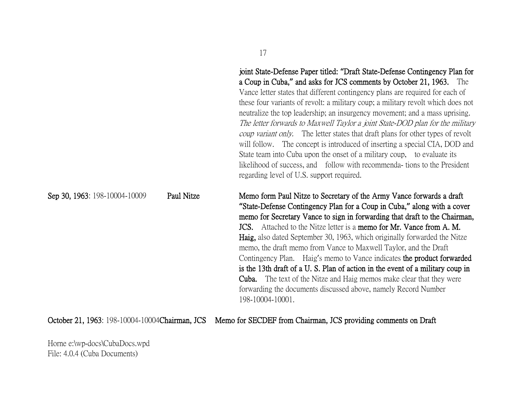|                               |            | these four variants of revolt: a military coup; a military revolt which does not<br>neutralize the top leadership; an insurgency movement; and a mass uprising.<br>The letter forwards to Maxwell Taylor a joint State-DOD plan for the military<br><i>coup variant only.</i> The letter states that draft plans for other types of revolt<br>will follow. The concept is introduced of inserting a special CIA, DOD and<br>State team into Cuba upon the onset of a military coup, to evaluate its<br>likelihood of success, and follow with recommenda-tions to the President<br>regarding level of U.S. support required.                                                                                   |
|-------------------------------|------------|----------------------------------------------------------------------------------------------------------------------------------------------------------------------------------------------------------------------------------------------------------------------------------------------------------------------------------------------------------------------------------------------------------------------------------------------------------------------------------------------------------------------------------------------------------------------------------------------------------------------------------------------------------------------------------------------------------------|
| Sep 30, 1963: 198-10004-10009 | Paul Nitze | Memo form Paul Nitze to Secretary of the Army Vance forwards a draft<br>"State-Defense Contingency Plan for a Coup in Cuba," along with a cover<br>memo for Secretary Vance to sign in forwarding that draft to the Chairman,<br><b>JCS.</b> Attached to the Nitze letter is a memo for Mr. Vance from A. M.<br><b>Haig,</b> also dated September 30, 1963, which originally forwarded the Nitze<br>memo, the draft memo from Vance to Maxwell Taylor, and the Draft<br>Contingency Plan. Haig's memo to Vance indicates the product forwarded<br>is the 13th draft of a U.S. Plan of action in the event of a military coup in<br><b>Cuba.</b> The text of the Nitze and Haig memos make clear that they were |

October 21, 1963: 198-10004-10004Chairman, JCS Memo for SECDEF from Chairman, JCS providing comments on Draft

198-10004-10001.

Horne e:\wp-docs\CubaDocs.wpd File: 4.0.4 (Cuba Documents)

17

joint State-Defense Paper titled: **"**Draft State-Defense Contingency Plan for a Coup in Cuba,**"** and asks for JCS comments by October 21, 1963. The Vance letter states that different contingency plans are required for each of

forwarding the documents discussed above, namely Record Number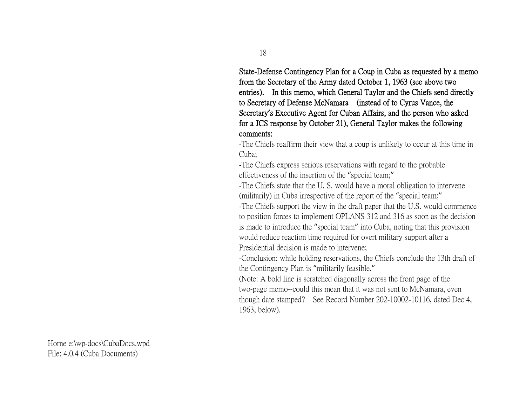State-Defense Contingency Plan for a Coup in Cuba as requested by a memo from the Secretary of the Army dated October 1, 1963 (see above two entries). In this memo, which General Taylor and the Chiefs send directly to Secretary of Defense McNamara (instead of to Cyrus Vance, the Secretary**'**s Executive Agent for Cuban Affairs, and the person who asked for a JCS response by October 21), General Taylor makes the following comments:

-The Chiefs reaffirm their view that a coup is unlikely to occur at this time in Cuba;

-The Chiefs express serious reservations with regard to the probable effectiveness of the insertion of the "special team;"

-The Chiefs state that the U. S. would have a moral obligation to intervene (militarily) in Cuba irrespective of the report of the "special team;"

-The Chiefs support the view in the draft paper that the U.S. would commence to position forces to implement OPLANS 312 and 316 as soon as the decision is made to introduce the "special team" into Cuba, noting that this provision would reduce reaction time required for overt military support after a Presidential decision is made to intervene;

-Conclusion: while holding reservations, the Chiefs conclude the 13th draft of the Contingency Plan is "militarily feasible."

(Note: A bold line is scratched diagonally across the front page of the two-page memo--could this mean that it was not sent to McNamara, even though date stamped? See Record Number 202-10002-10116, dated Dec 4, 1963, below).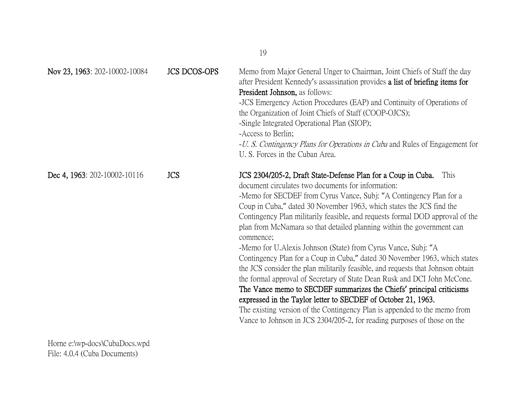| Nov 23, 1963: 202-10002-10084 | <b>JCS DCOS-OPS</b> | Memo from Major General Unger to Chairman, Joint Chiefs of Staff the day<br>after President Kennedy's assassination provides a list of briefing items for<br><b>President Johnson</b> , as follows:<br>-JCS Emergency Action Procedures (EAP) and Continuity of Operations of<br>the Organization of Joint Chiefs of Staff (COOP-OJCS);<br>-Single Integrated Operational Plan (SIOP);<br>-Access to Berlin;<br>- <i>U. S. Contingency Plans for Operations in Cuba</i> and Rules of Engagement for<br>U. S. Forces in the Cuban Area.                                                                                                                                                                                                                                                                                                                                                                                                                                                                                                                           |
|-------------------------------|---------------------|------------------------------------------------------------------------------------------------------------------------------------------------------------------------------------------------------------------------------------------------------------------------------------------------------------------------------------------------------------------------------------------------------------------------------------------------------------------------------------------------------------------------------------------------------------------------------------------------------------------------------------------------------------------------------------------------------------------------------------------------------------------------------------------------------------------------------------------------------------------------------------------------------------------------------------------------------------------------------------------------------------------------------------------------------------------|
| Dec 4, 1963: 202-10002-10116  | <b>JCS</b>          | JCS 2304/205-2, Draft State-Defense Plan for a Coup in Cuba.<br>This<br>document circulates two documents for information:<br>-Memo for SECDEF from Cyrus Vance, Subj: "A Contingency Plan for a<br>Coup in Cuba," dated 30 November 1963, which states the JCS find the<br>Contingency Plan militarily feasible, and requests formal DOD approval of the<br>plan from McNamara so that detailed planning within the government can<br>commence;<br>-Memo for U.Alexis Johnson (State) from Cyrus Vance, Subj: "A<br>Contingency Plan for a Coup in Cuba," dated 30 November 1963, which states<br>the JCS consider the plan militarily feasible, and requests that Johnson obtain<br>the formal approval of Secretary of State Dean Rusk and DCI John McCone.<br>The Vance memo to SECDEF summarizes the Chiefs' principal criticisms<br>expressed in the Taylor letter to SECDEF of October 21, 1963.<br>The existing version of the Contingency Plan is appended to the memo from<br>Vance to Johnson in JCS 2304/205-2, for reading purposes of those on the |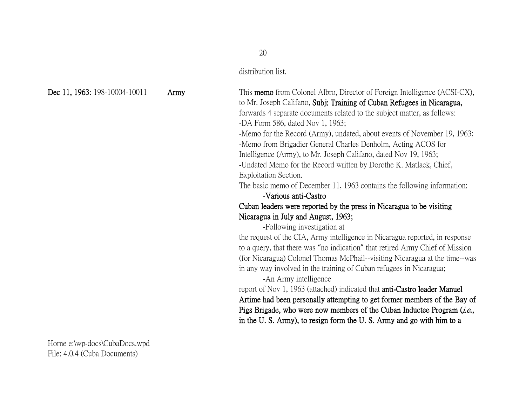#### distribution list.

Dec 11, 1963: 198-10004-10011 Army This memo from Colonel Albro, Director of Foreign Intelligence (ACSI-CX), to Mr. Joseph Califano, Subj: Training of Cuban Refugees in Nicaragua, forwards 4 separate documents related to the subject matter, as follows: -DA Form 586, dated Nov 1, 1963; -Memo for the Record (Army), undated, about events of November 19, 1963; -Memo from Brigadier General Charles Denholm, Acting ACOS for Intelligence (Army), to Mr. Joseph Califano, dated Nov 19, 1963; -Undated Memo for the Record written by Dorothe K. Matlack, Chief, Exploitation Section.

The basic memo of December 11, 1963 contains the following information: -Various anti-Castro

## Cuban leaders were reported by the press in Nicaragua to be visiting Nicaragua in July and August, 1963;

-Following investigation at

the request of the CIA, Army intelligence in Nicaragua reported, in response to a query, that there was "no indication" that retired Army Chief of Mission (for Nicaragua) Colonel Thomas McPhail--visiting Nicaragua at the time--was in any way involved in the training of Cuban refugees in Nicaragua;

-An Army intelligence

report of Nov 1, 1963 (attached) indicated that anti-Castro leader Manuel Artime had been personally attempting to get former members of the Bay of Pigs Brigade, who were now members of the Cuban Inductee Program (*i.e.*, in the U. S. Army), to resign form the U. S. Army and go with him to a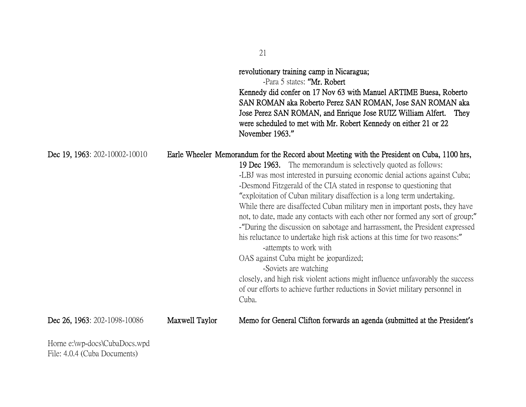|                                |                | revolutionary training camp in Nicaragua;<br>-Para 5 states: "Mr. Robert<br>Kennedy did confer on 17 Nov 63 with Manuel ARTIME Buesa, Roberto<br>SAN ROMAN aka Roberto Perez SAN ROMAN, Jose SAN ROMAN aka<br>Jose Perez SAN ROMAN, and Enrique Jose RUIZ William Alfert.<br>They<br>were scheduled to met with Mr. Robert Kennedy on either 21 or 22<br>November 1963."                                                                                                                                                                                                                                                                                                                                                                                                                                                                                                                                                                                                                                   |
|--------------------------------|----------------|------------------------------------------------------------------------------------------------------------------------------------------------------------------------------------------------------------------------------------------------------------------------------------------------------------------------------------------------------------------------------------------------------------------------------------------------------------------------------------------------------------------------------------------------------------------------------------------------------------------------------------------------------------------------------------------------------------------------------------------------------------------------------------------------------------------------------------------------------------------------------------------------------------------------------------------------------------------------------------------------------------|
| Dec 19, 1963: 202-10002-10010  |                | Earle Wheeler Memorandum for the Record about Meeting with the President on Cuba, 1100 hrs,<br>19 Dec 1963. The memorandum is selectively quoted as follows:<br>-LBJ was most interested in pursuing economic denial actions against Cuba;<br>-Desmond Fitzgerald of the CIA stated in response to questioning that<br>"exploitation of Cuban military disaffection is a long term undertaking.<br>While there are disaffected Cuban military men in important posts, they have<br>not, to date, made any contacts with each other nor formed any sort of group;"<br>- "During the discussion on sabotage and harrassment, the President expressed<br>his reluctance to undertake high risk actions at this time for two reasons:"<br>-attempts to work with<br>OAS against Cuba might be jeopardized;<br>-Soviets are watching<br>closely, and high risk violent actions might influence unfavorably the success<br>of our efforts to achieve further reductions in Soviet military personnel in<br>Cuba. |
| Dec 26, 1963: 202-1098-10086   | Maxwell Taylor | Memo for General Clifton forwards an agenda (submitted at the President's                                                                                                                                                                                                                                                                                                                                                                                                                                                                                                                                                                                                                                                                                                                                                                                                                                                                                                                                  |
| Harna alwn does Cube Does wood |                |                                                                                                                                                                                                                                                                                                                                                                                                                                                                                                                                                                                                                                                                                                                                                                                                                                                                                                                                                                                                            |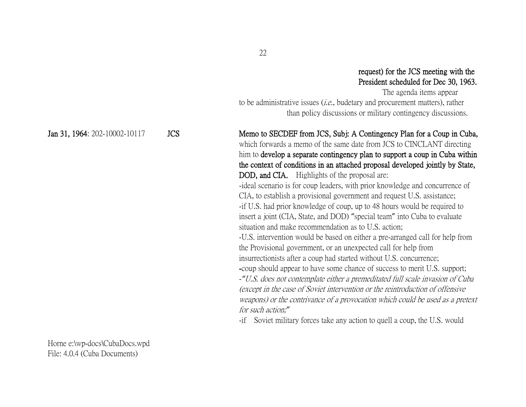### request) for the JCS meeting with the President scheduled for Dec 30, 1963.

 The agenda items appear to be administrative issues  $(i.e.,$  budetary and procurement matters), rather than policy discussions or military contingency discussions.

which forwards a memo of the same date from JCS to CINCLANT directing him to develop a separate contingency plan to support a coup in Cuba within

#### Jan 31, 1964: 202-10002-10117 JCS Memo to SECDEF from JCS, Subj: A Contingency Plan for a Coup in Cuba,

the context of conditions in an attached proposal developed jointly by State, DOD, and CIA. Highlights of the proposal are: -ideal scenario is for coup leaders, with prior knowledge and concurrence of CIA, to establish a provisional government and request U.S. assistance; -if U.S. had prior knowledge of coup, up to 48 hours would be required to insert a joint (CIA, State, and DOD) "special team" into Cuba to evaluate situation and make recommendation as to U.S. action; -U.S. intervention would be based on either a pre-arranged call for help from the Provisional government, or an unexpected call for help from insurrectionists after a coup had started without U.S. concurrence; -coup should appear to have some chance of success to merit U.S. support; -*"*U.S. does not contemplate either a premeditated full scale invasion of Cuba (except in the case of Soviet intervention or the reintroduction of offensive weapons) or the contrivance of a provocation which could be used as a pretext

for such action;*"* -if Soviet military forces take any action to quell a coup, the U.S. would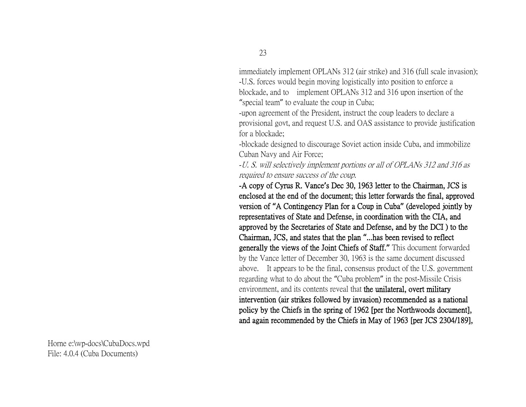immediately implement OPLANs 312 (air strike) and 316 (full scale invasion); -U.S. forces would begin moving logistically into position to enforce a blockade, and to implement OPLANs 312 and 316 upon insertion of the "special team" to evaluate the coup in Cuba;

-upon agreement of the President, instruct the coup leaders to declare a provisional govt, and request U.S. and OAS assistance to provide justification for a blockade;

-blockade designed to discourage Soviet action inside Cuba, and immobilize Cuban Navy and Air Force;

-U. S. will selectively implement portions or all of OPLANs 312 and 316 as required to ensure success of the coup.

-A copy of Cyrus R. Vance**'**s Dec 30, 1963 letter to the Chairman, JCS is enclosed at the end of the document; this letter forwards the final, approved version of **"**A Contingency Plan for a Coup in Cuba**"** (developed jointly by representatives of State and Defense, in coordination with the CIA, and approved by the Secretaries of State and Defense, and by the DCI ) to the Chairman, JCS, and states that the plan **"**...has been revised to reflect generally the views of the Joint Chiefs of Staff.**"** This document forwarded by the Vance letter of December 30, 1963 is the same document discussed above. It appears to be the final, consensus product of the U.S. government regarding what to do about the "Cuba problem" in the post-Missile Crisis environment, and its contents reveal that the unilateral, overt military intervention (air strikes followed by invasion) recommended as a national policy by the Chiefs in the spring of 1962 [per the Northwoods document], and again recommended by the Chiefs in May of 1963 [per JCS 2304/189],